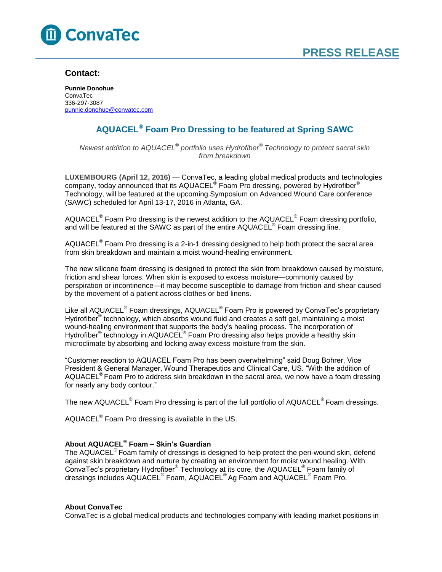

### **Contact:**

**Punnie Donohue** ConvaTec 336-297-3087 [punnie.donohue@convatec.com](mailto:punnie.donohue@convatec.com)

## **AQUACEL® Foam Pro Dressing to be featured at Spring SAWC**

*Newest addition to AQUACEL® portfolio uses Hydrofiber® Technology to protect sacral skin from breakdown*

**LUXEMBOURG (April 12, 2016)** — ConvaTec, a leading global medical products and technologies company, today announced that its AQUACEL® Foam Pro dressing, powered by Hydrofiber® Technology, will be featured at the upcoming Symposium on Advanced Wound Care conference (SAWC) scheduled for April 13-17, 2016 in Atlanta, GA.

AQUACEL<sup>®</sup> Foam Pro dressing is the newest addition to the AQUACEL<sup>®</sup> Foam dressing portfolio, and will be featured at the SAWC as part of the entire AQUACEL $^\circ$  Foam dressing line.

AQUACEL<sup>®</sup> Foam Pro dressing is a 2-in-1 dressing designed to help both protect the sacral area from skin breakdown and maintain a moist wound-healing environment.

The new silicone foam dressing is designed to protect the skin from breakdown caused by moisture, friction and shear forces. When skin is exposed to excess moisture—commonly caused by perspiration or incontinence—it may become susceptible to damage from friction and shear caused by the movement of a patient across clothes or bed linens.

Like all AQUACEL® Foam dressings, AQUACEL® Foam Pro is powered by ConvaTec's proprietary Hydrofiber<sup>®</sup> technology, which absorbs wound fluid and creates a soft gel, maintaining a moist wound-healing environment that supports the body's healing process. The incorporation of Hydrofiber® technology in AQUACEL® Foam Pro dressing also helps provide a healthy skin microclimate by absorbing and locking away excess moisture from the skin.

"Customer reaction to AQUACEL Foam Pro has been overwhelming" said Doug Bohrer, Vice President & General Manager, Wound Therapeutics and Clinical Care, US. "With the addition of AQUACEL<sup>®</sup> Foam Pro to address skin breakdown in the sacral area, we now have a foam dressing for nearly any body contour."

The new AQUACEL<sup>®</sup> Foam Pro dressing is part of the full portfolio of AQUACEL<sup>®</sup> Foam dressings.

AQUACEL $^{\circ}$  Foam Pro dressing is available in the US.

#### **About AQUACEL® Foam – Skin's Guardian**

The AQUACEL<sup>®</sup> Foam family of dressings is designed to help protect the peri-wound skin, defend against skin breakdown and nurture by creating an environment for moist wound healing. With ConvaTec's proprietary Hydrofiber® Technology at its core, the AQUACEL® Foam family of dressings includes AQUACEL<sup>®</sup> Foam, AQUACEL<sup>®</sup> Ag Foam and AQUACEL<sup>®</sup> Foam Pro.

#### **About ConvaTec**

ConvaTec is a global medical products and technologies company with leading market positions in